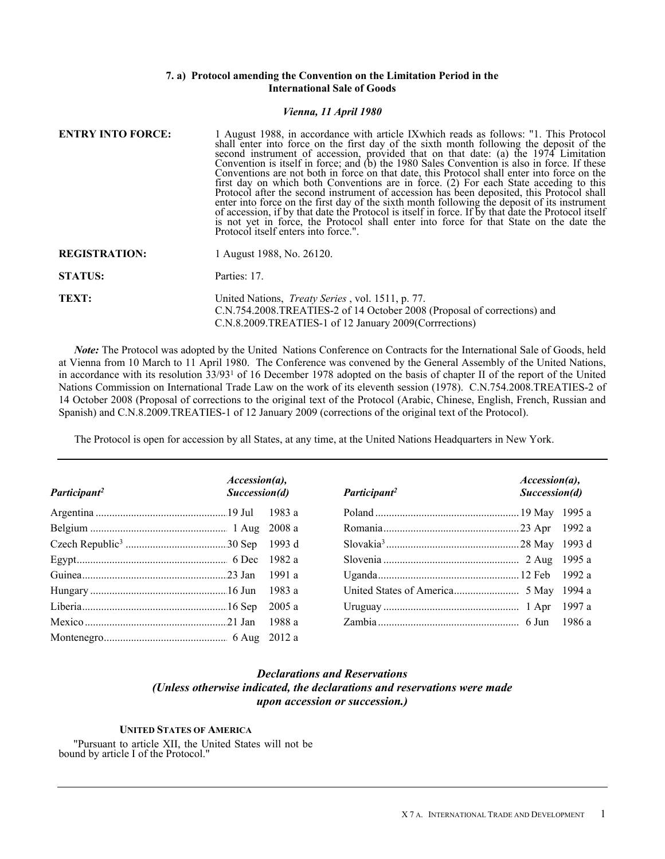## **7. a) Protocol amending the Convention on the Limitation Period in the International Sale of Goods**

#### *Vienna, 11 April 1980*

| <b>ENTRY INTO FORCE:</b> | 1 August 1988, in accordance with article IXwhich reads as follows: "1. This Protocol<br>shall enter into force on the first day of the sixth month following the deposit of the<br>second instrument of accession, provided that on that date: (a) the 1974 Limitation<br>Convention is itself in force; and (b) the 1980 Sales Convention is also in force. If these<br>Conventions are not both in force on that date, this Protocol shall enter into force on the<br>first day on which both Conventions are in force. (2) For each State acceding to this<br>Protocol after the second instrument of accession has been deposited, this Protocol shall<br>enter into force on the first day of the sixth month following the deposit of its instrument<br>of accession, if by that date the Protocol is itself in force. If by that date the Protocol itself<br>is not yet in force, the Protocol shall enter into force for that State on the date the<br>Protocol itself enters into force.". |  |  |  |
|--------------------------|------------------------------------------------------------------------------------------------------------------------------------------------------------------------------------------------------------------------------------------------------------------------------------------------------------------------------------------------------------------------------------------------------------------------------------------------------------------------------------------------------------------------------------------------------------------------------------------------------------------------------------------------------------------------------------------------------------------------------------------------------------------------------------------------------------------------------------------------------------------------------------------------------------------------------------------------------------------------------------------------------|--|--|--|
| <b>REGISTRATION:</b>     | 1 August 1988, No. 26120.                                                                                                                                                                                                                                                                                                                                                                                                                                                                                                                                                                                                                                                                                                                                                                                                                                                                                                                                                                            |  |  |  |
| <b>STATUS:</b>           | Parties: 17.                                                                                                                                                                                                                                                                                                                                                                                                                                                                                                                                                                                                                                                                                                                                                                                                                                                                                                                                                                                         |  |  |  |
| TEXT:                    | United Nations, <i>Treaty Series</i> , vol. 1511, p. 77.<br>C.N.754.2008.TREATIES-2 of 14 October 2008 (Proposal of corrections) and<br>C.N.8.2009.TREATIES-1 of 12 January 2009 (Corrrections)                                                                                                                                                                                                                                                                                                                                                                                                                                                                                                                                                                                                                                                                                                                                                                                                      |  |  |  |

*Note:* The Protocol was adopted by the United Nations Conference on Contracts for the International Sale of Goods, held at Vienna from 10 March to 11 April 1980. The Conference was convened by the General Assembly of the United Nations, in accordance with its resolution 33/93<sup>1</sup> of 16 December 1978 adopted on the basis of chapter II of the report of the United Nations Commission on International Trade Law on the work of its eleventh session (1978). C.N.754.2008.TREATIES-2 of 14 October 2008 (Proposal of corrections to the original text of the Protocol (Arabic, Chinese, English, French, Russian and Spanish) and C.N.8.2009.TREATIES-1 of 12 January 2009 (corrections of the original text of the Protocol).

The Protocol is open for accession by all States, at any time, at the United Nations Headquarters in New York.

| Participant <sup>2</sup> | <i>Accession(a),</i><br>Succession(d) | Participant <sup>2</sup> | $Accession(a)$ ,<br>Succession(d) |  |
|--------------------------|---------------------------------------|--------------------------|-----------------------------------|--|
|                          |                                       |                          |                                   |  |
|                          |                                       |                          |                                   |  |
|                          |                                       |                          |                                   |  |
|                          |                                       |                          |                                   |  |
|                          |                                       |                          |                                   |  |
|                          |                                       |                          |                                   |  |
|                          |                                       |                          |                                   |  |
|                          |                                       |                          |                                   |  |
|                          |                                       |                          |                                   |  |

# *Declarations and Reservations (Unless otherwise indicated, the declarations and reservations were made upon accession or succession.)*

## **UNITED STATES OF AMERICA**

"Pursuant to article XII, the United States will not be bound by article I of the Protocol."